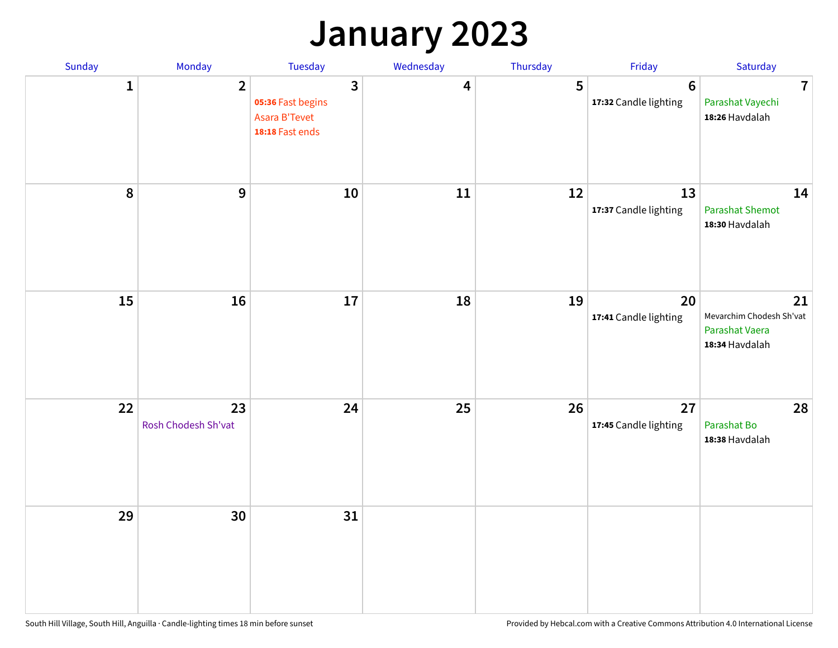## **January 2023**

| Sunday           | Monday                    | Tuesday                                                                          | Wednesday | Thursday | Friday                                   | Saturday                                                           |
|------------------|---------------------------|----------------------------------------------------------------------------------|-----------|----------|------------------------------------------|--------------------------------------------------------------------|
| 1                | $\overline{2}$            | $\overline{\mathbf{3}}$<br>05:36 Fast begins<br>Asara B'Tevet<br>18:18 Fast ends | 4         | 5        | $6\phantom{1}6$<br>17:32 Candle lighting | $\overline{7}$<br>Parashat Vayechi<br>18:26 Havdalah               |
| $\boldsymbol{8}$ | $\mathbf{9}$              | 10                                                                               | 11        | 12       | 13<br>17:37 Candle lighting              | 14<br><b>Parashat Shemot</b><br>18:30 Havdalah                     |
| 15               | 16                        | 17                                                                               | 18        | 19       | 20<br>17:41 Candle lighting              | 21<br>Mevarchim Chodesh Sh'vat<br>Parashat Vaera<br>18:34 Havdalah |
| 22               | 23<br>Rosh Chodesh Sh'vat | 24                                                                               | 25        | 26       | 27<br>17:45 Candle lighting              | 28<br>Parashat Bo<br>18:38 Havdalah                                |
| 29               | 30                        | 31                                                                               |           |          |                                          |                                                                    |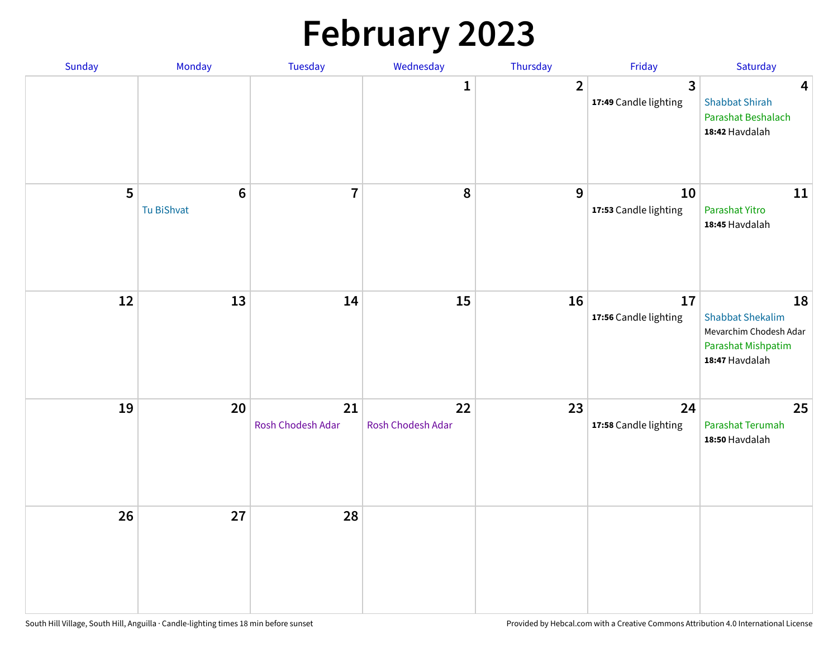# **February 2023**

| Sunday | Monday                        | Tuesday                 | Wednesday               | Thursday         | Friday                                  | Saturday                                                                                               |
|--------|-------------------------------|-------------------------|-------------------------|------------------|-----------------------------------------|--------------------------------------------------------------------------------------------------------|
|        |                               |                         | 1                       | $\overline{2}$   | $\overline{3}$<br>17:49 Candle lighting | $\overline{\mathbf{4}}$<br><b>Shabbat Shirah</b><br>Parashat Beshalach<br>18:42 Havdalah               |
| 5      | $6\phantom{1}6$<br>Tu BiShvat | $\overline{7}$          | ${\bf 8}$               | $\boldsymbol{9}$ | 10<br>17:53 Candle lighting             | 11<br>Parashat Yitro<br>18:45 Havdalah                                                                 |
| 12     | 13                            | 14                      | 15                      | 16               | 17<br>17:56 Candle lighting             | 18<br><b>Shabbat Shekalim</b><br>Mevarchim Chodesh Adar<br><b>Parashat Mishpatim</b><br>18:47 Havdalah |
| 19     | 20                            | 21<br>Rosh Chodesh Adar | 22<br>Rosh Chodesh Adar | 23               | 24<br>17:58 Candle lighting             | 25<br>Parashat Terumah<br>18:50 Havdalah                                                               |
| 26     | 27                            | 28                      |                         |                  |                                         |                                                                                                        |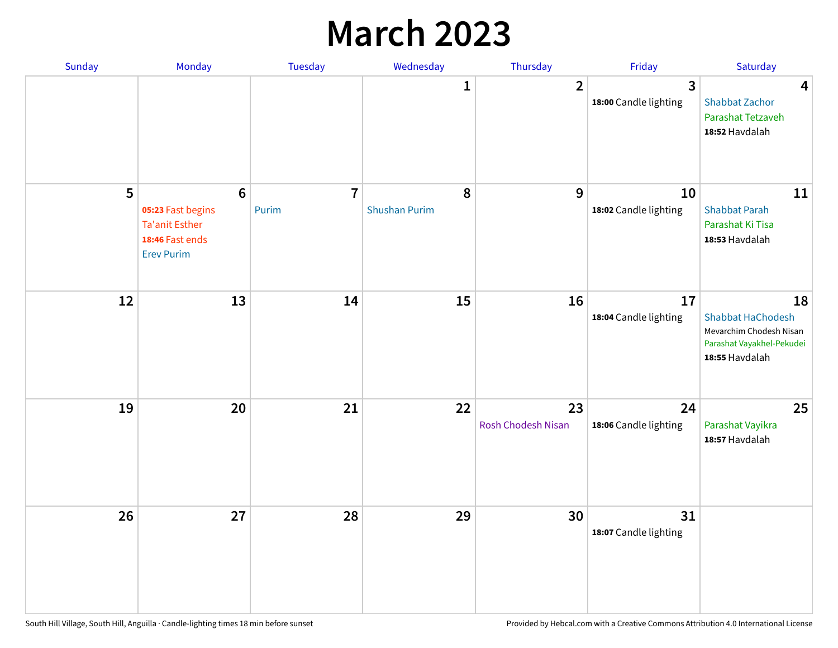## **March 2023**

| Sunday | Monday                                                                                                | Tuesday                 | Wednesday                 | Thursday                        | Friday                      | Saturday                                                                                                 |
|--------|-------------------------------------------------------------------------------------------------------|-------------------------|---------------------------|---------------------------------|-----------------------------|----------------------------------------------------------------------------------------------------------|
|        |                                                                                                       |                         | 1                         | $\overline{2}$                  | 3<br>18:00 Candle lighting  | 4<br><b>Shabbat Zachor</b><br>Parashat Tetzaveh<br>18:52 Havdalah                                        |
| 5      | $6\phantom{1}6$<br>05:23 Fast begins<br><b>Ta'anit Esther</b><br>18:46 Fast ends<br><b>Erev Purim</b> | $\overline{7}$<br>Purim | 8<br><b>Shushan Purim</b> | 9                               | 10<br>18:02 Candle lighting | 11<br><b>Shabbat Parah</b><br>Parashat Ki Tisa<br>18:53 Havdalah                                         |
| 12     | 13                                                                                                    | 14                      | 15                        | 16                              | 17<br>18:04 Candle lighting | 18<br><b>Shabbat HaChodesh</b><br>Mevarchim Chodesh Nisan<br>Parashat Vayakhel-Pekudei<br>18:55 Havdalah |
| 19     | 20                                                                                                    | 21                      | 22                        | 23<br><b>Rosh Chodesh Nisan</b> | 24<br>18:06 Candle lighting | 25<br>Parashat Vayikra<br>18:57 Havdalah                                                                 |
| 26     | 27                                                                                                    | 28                      | 29                        | 30                              | 31<br>18:07 Candle lighting |                                                                                                          |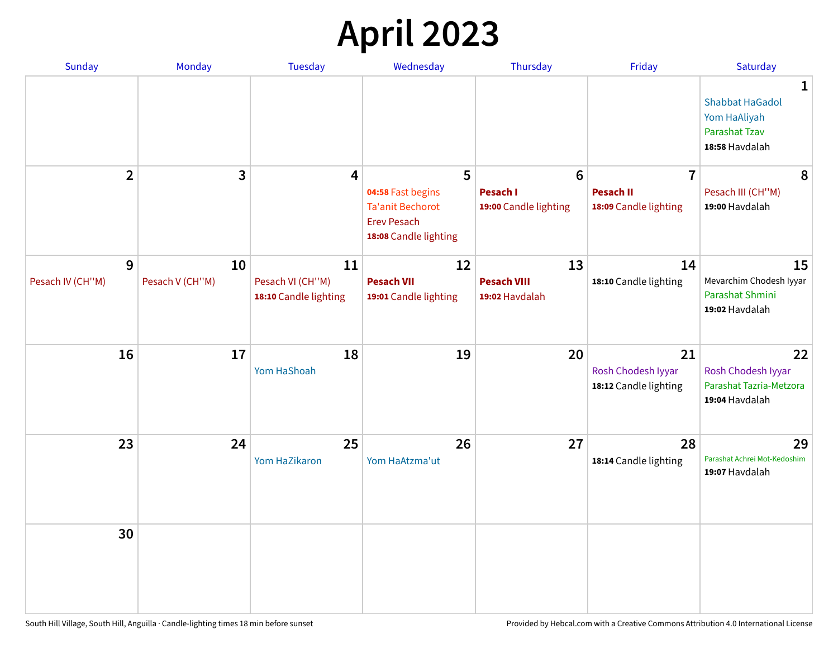## **April 2023**

| Sunday                | <b>Monday</b>         | <b>Tuesday</b>                                  | Wednesday                                         | Thursday                                             | Friday                                                      | Saturday                                                                              |
|-----------------------|-----------------------|-------------------------------------------------|---------------------------------------------------|------------------------------------------------------|-------------------------------------------------------------|---------------------------------------------------------------------------------------|
|                       |                       |                                                 |                                                   |                                                      |                                                             | 1<br><b>Shabbat HaGadol</b><br>Yom HaAliyah<br><b>Parashat Tzav</b><br>18:58 Havdalah |
| $\overline{2}$        | 3                     | $\overline{4}$                                  | 5<br>04:58 Fast begins<br><b>Ta'anit Bechorot</b> | $6\phantom{1}6$<br>Pesach I<br>19:00 Candle lighting | $\overline{7}$<br><b>Pesach II</b><br>18:09 Candle lighting | 8<br>Pesach III (CH"M)<br>19:00 Havdalah                                              |
|                       |                       |                                                 | <b>Erev Pesach</b><br>18:08 Candle lighting       |                                                      |                                                             |                                                                                       |
| 9<br>Pesach IV (CH"M) | 10<br>Pesach V (CH"M) | 11<br>Pesach VI (CH"M)<br>18:10 Candle lighting | 12<br><b>Pesach VII</b><br>19:01 Candle lighting  | 13<br><b>Pesach VIII</b><br>19:02 Havdalah           | 14<br>18:10 Candle lighting                                 | 15<br>Mevarchim Chodesh Iyyar<br>Parashat Shmini<br>19:02 Havdalah                    |
| 16                    | 17                    | 18<br>Yom HaShoah                               | 19                                                | 20                                                   | 21<br>Rosh Chodesh Iyyar<br>18:12 Candle lighting           | 22<br>Rosh Chodesh Iyyar<br>Parashat Tazria-Metzora<br>19:04 Havdalah                 |
| 23                    | 24                    | 25<br>Yom HaZikaron                             | 26<br>Yom HaAtzma'ut                              | 27                                                   | 28<br>18:14 Candle lighting                                 | 29<br>Parashat Achrei Mot-Kedoshim<br>19:07 Havdalah                                  |
| 30                    |                       |                                                 |                                                   |                                                      |                                                             |                                                                                       |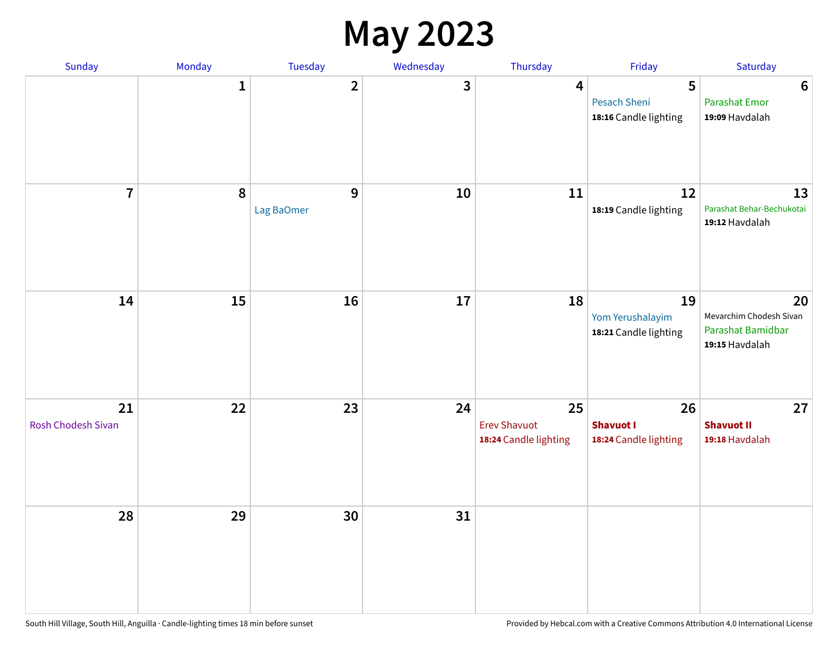#### **May 2023**

| Sunday                   | Monday       | Tuesday                    | Wednesday | Thursday                                           | Friday                                          | Saturday                                                             |
|--------------------------|--------------|----------------------------|-----------|----------------------------------------------------|-------------------------------------------------|----------------------------------------------------------------------|
|                          | $\mathbf{1}$ | $\overline{2}$             | 3         | 4                                                  | 5<br>Pesach Sheni<br>18:16 Candle lighting      | $6\phantom{1}6$<br><b>Parashat Emor</b><br>19:09 Havdalah            |
| $\overline{7}$           | 8            | $\mathbf{9}$<br>Lag BaOmer | 10        | 11                                                 | 12<br>18:19 Candle lighting                     | 13<br>Parashat Behar-Bechukotai<br>19:12 Havdalah                    |
| 14                       | 15           | 16                         | $17\,$    | 18                                                 | 19<br>Yom Yerushalayim<br>18:21 Candle lighting | 20<br>Mevarchim Chodesh Sivan<br>Parashat Bamidbar<br>19:15 Havdalah |
| 21<br>Rosh Chodesh Sivan | 22           | 23                         | 24        | 25<br><b>Erev Shavuot</b><br>18:24 Candle lighting | 26<br><b>Shavuot I</b><br>18:24 Candle lighting | 27<br><b>Shavuot II</b><br>19:18 Havdalah                            |
| 28                       | 29           | 30                         | 31        |                                                    |                                                 |                                                                      |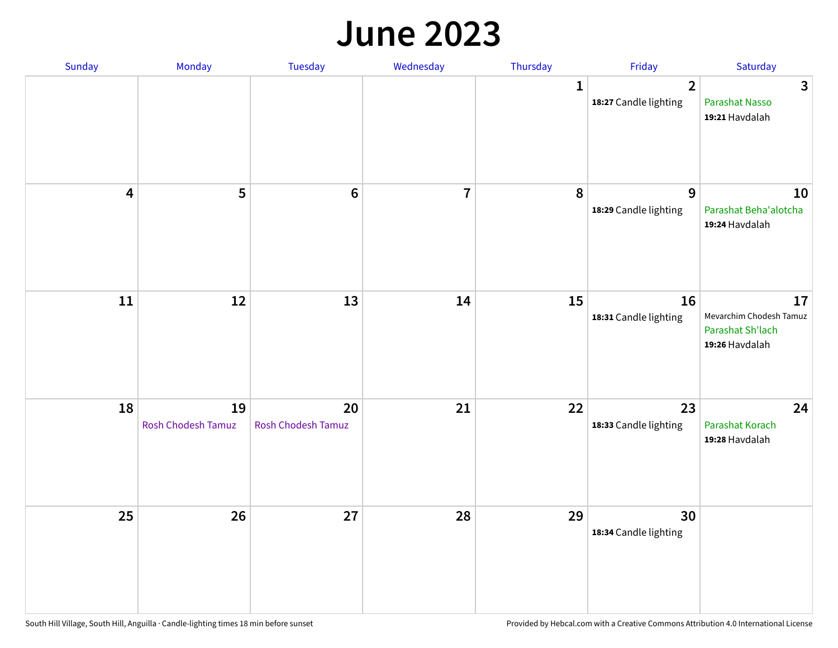#### **June 2023**

| Sunday                  | Monday                   | Tuesday                         | Wednesday      | Thursday     | Friday                                  | Saturday                                                            |
|-------------------------|--------------------------|---------------------------------|----------------|--------------|-----------------------------------------|---------------------------------------------------------------------|
|                         |                          |                                 |                | $\mathbf{1}$ | $\overline{2}$<br>18:27 Candle lighting | $\mathbf{3}$<br>Parashat Nasso<br>19:21 Havdalah                    |
| $\overline{\mathbf{4}}$ | 5                        | $\boldsymbol{6}$                | $\overline{7}$ | 8            | 9<br>18:29 Candle lighting              | 10<br>Parashat Beha'alotcha<br>19:24 Havdalah                       |
| ${\bf 11}$              | 12                       | 13                              | 14             | 15           | 16<br>18:31 Candle lighting             | 17<br>Mevarchim Chodesh Tamuz<br>Parashat Sh'lach<br>19:26 Havdalah |
| 18                      | 19<br>Rosh Chodesh Tamuz | 20<br><b>Rosh Chodesh Tamuz</b> | 21             | 22           | 23<br>18:33 Candle lighting             | 24<br>Parashat Korach<br>19:28 Havdalah                             |
| 25                      | 26                       | 27                              | 28             | 29           | 30<br>18:34 Candle lighting             |                                                                     |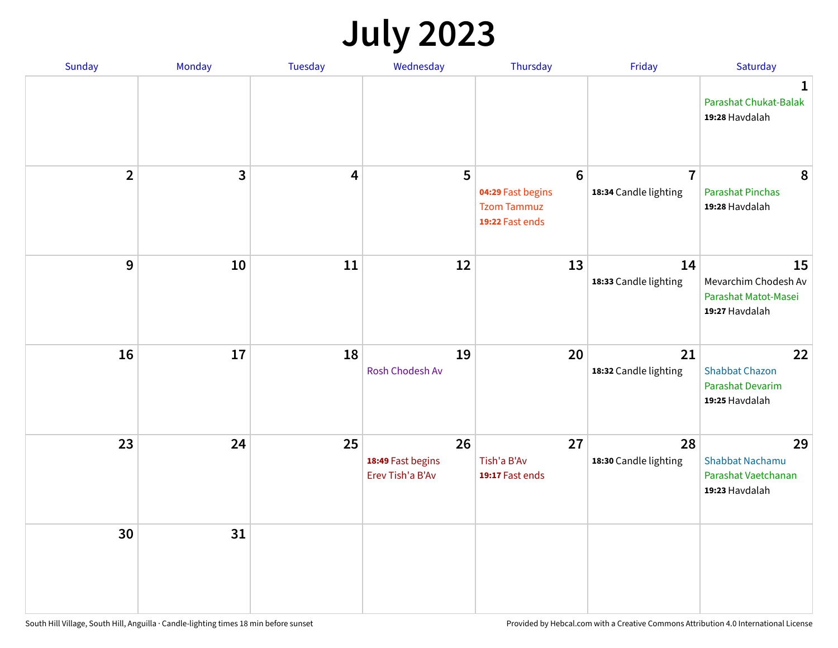## **July 2023**

| Sunday                  | Monday       | <b>Tuesday</b>          | Wednesday                                   | Thursday                                                                      | Friday                                  | Saturday                                                              |
|-------------------------|--------------|-------------------------|---------------------------------------------|-------------------------------------------------------------------------------|-----------------------------------------|-----------------------------------------------------------------------|
|                         |              |                         |                                             |                                                                               |                                         | $\mathbf 1$<br>Parashat Chukat-Balak<br>19:28 Havdalah                |
| $\overline{\mathbf{2}}$ | $\mathbf{3}$ | $\overline{\mathbf{4}}$ | 5                                           | $6\phantom{1}6$<br>04:29 Fast begins<br><b>Tzom Tammuz</b><br>19:22 Fast ends | $\overline{7}$<br>18:34 Candle lighting | 8<br><b>Parashat Pinchas</b><br>19:28 Havdalah                        |
| 9                       | 10           | 11                      | 12                                          | 13                                                                            | 14<br>18:33 Candle lighting             | 15<br>Mevarchim Chodesh Av<br>Parashat Matot-Masei<br>19:27 Havdalah  |
| 16                      | 17           | 18                      | 19<br>Rosh Chodesh Av                       | 20                                                                            | 21<br>18:32 Candle lighting             | 22<br><b>Shabbat Chazon</b><br>Parashat Devarim<br>19:25 Havdalah     |
| 23                      | 24           | 25                      | 26<br>18:49 Fast begins<br>Erev Tish'a B'Av | 27<br>Tish'a B'Av<br>19:17 Fast ends                                          | 28<br>18:30 Candle lighting             | 29<br><b>Shabbat Nachamu</b><br>Parashat Vaetchanan<br>19:23 Havdalah |
| 30                      | 31           |                         |                                             |                                                                               |                                         |                                                                       |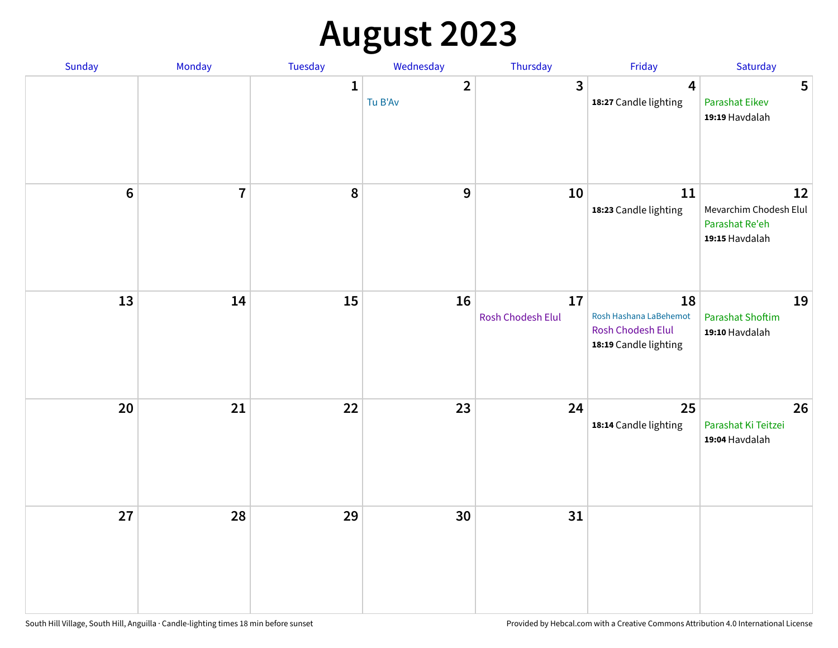## **August 2023**

| Sunday           | Monday         | Tuesday      | Wednesday               | Thursday                | Friday                                                                     | Saturday                                                         |
|------------------|----------------|--------------|-------------------------|-------------------------|----------------------------------------------------------------------------|------------------------------------------------------------------|
|                  |                | $\mathbf{1}$ | $\mathbf{2}$<br>Tu B'Av | $\mathbf{3}$            | $\overline{\mathbf{4}}$<br>18:27 Candle lighting                           | $5\phantom{1}$<br>Parashat Eikev<br>19:19 Havdalah               |
| $\boldsymbol{6}$ | $\overline{7}$ | 8            | 9                       | 10                      | 11<br>18:23 Candle lighting                                                | 12<br>Mevarchim Chodesh Elul<br>Parashat Re'eh<br>19:15 Havdalah |
| 13               | 14             | 15           | 16                      | 17<br>Rosh Chodesh Elul | 18<br>Rosh Hashana LaBehemot<br>Rosh Chodesh Elul<br>18:19 Candle lighting | 19<br><b>Parashat Shoftim</b><br>19:10 Havdalah                  |
| 20               | 21             | 22           | 23                      | 24                      | 25<br>18:14 Candle lighting                                                | 26<br>Parashat Ki Teitzei<br>19:04 Havdalah                      |
| 27               | 28             | 29           | 30                      | 31                      |                                                                            |                                                                  |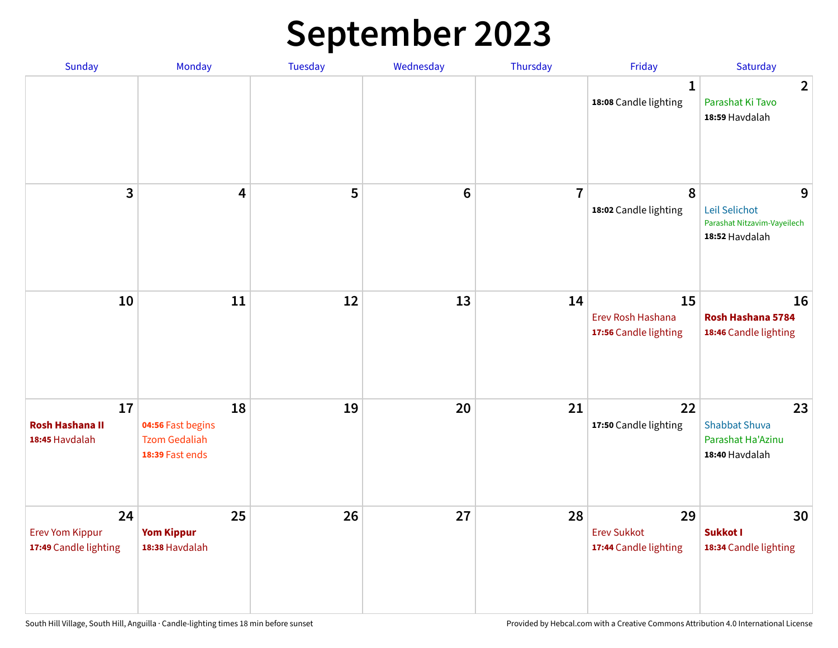#### **September 2023**

| Sunday                                                | Monday                                                             | Tuesday | Wednesday       | Thursday       | Friday                                            | Saturday                                                            |
|-------------------------------------------------------|--------------------------------------------------------------------|---------|-----------------|----------------|---------------------------------------------------|---------------------------------------------------------------------|
|                                                       |                                                                    |         |                 |                | 1<br>18:08 Candle lighting                        | $\overline{2}$<br>Parashat Ki Tavo<br>18:59 Havdalah                |
| 3                                                     | $\overline{\mathbf{4}}$                                            | 5       | $6\phantom{1}6$ | $\overline{7}$ | 8<br>18:02 Candle lighting                        | 9<br>Leil Selichot<br>Parashat Nitzavim-Vayeilech<br>18:52 Havdalah |
| 10                                                    | 11                                                                 | 12      | 13              | 14             | 15<br>Erev Rosh Hashana<br>17:56 Candle lighting  | 16<br>Rosh Hashana 5784<br>18:46 Candle lighting                    |
| 17<br><b>Rosh Hashana II</b><br>18:45 Havdalah        | 18<br>04:56 Fast begins<br><b>Tzom Gedaliah</b><br>18:39 Fast ends | 19      | 20              | 21             | 22<br>17:50 Candle lighting                       | 23<br><b>Shabbat Shuva</b><br>Parashat Ha'Azinu<br>18:40 Havdalah   |
| 24<br><b>Erev Yom Kippur</b><br>17:49 Candle lighting | 25<br><b>Yom Kippur</b><br>18:38 Havdalah                          | 26      | 27              | 28             | 29<br><b>Erev Sukkot</b><br>17:44 Candle lighting | 30<br><b>Sukkot I</b><br>18:34 Candle lighting                      |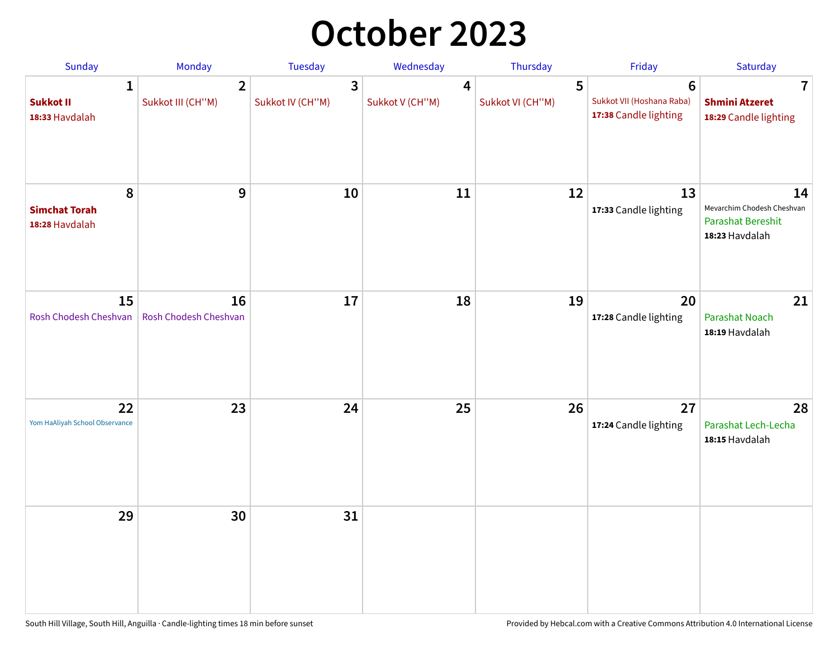## **October 2023**

| Sunday                                             | Monday                              | <b>Tuesday</b>        | Wednesday            | Thursday              | Friday                                                                | Saturday                                                                       |
|----------------------------------------------------|-------------------------------------|-----------------------|----------------------|-----------------------|-----------------------------------------------------------------------|--------------------------------------------------------------------------------|
| $\mathbf{1}$<br><b>Sukkot II</b><br>18:33 Havdalah | $\overline{2}$<br>Sukkot III (CH"M) | 3<br>Sukkot IV (CH"M) | 4<br>Sukkot V (CH"M) | 5<br>Sukkot VI (CH"M) | $6\phantom{1}6$<br>Sukkot VII (Hoshana Raba)<br>17:38 Candle lighting | $\overline{\mathbf{7}}$<br><b>Shmini Atzeret</b><br>18:29 Candle lighting      |
| 8<br><b>Simchat Torah</b><br>18:28 Havdalah        | $\boldsymbol{9}$                    | 10                    | 11                   | 12                    | 13<br>17:33 Candle lighting                                           | 14<br>Mevarchim Chodesh Cheshvan<br><b>Parashat Bereshit</b><br>18:23 Havdalah |
| 15<br>Rosh Chodesh Cheshvan                        | 16<br>Rosh Chodesh Cheshvan         | 17                    | 18                   | 19                    | 20<br>17:28 Candle lighting                                           | 21<br>Parashat Noach<br>18:19 Havdalah                                         |
| 22<br>Yom HaAliyah School Observance               | 23                                  | 24                    | 25                   | 26                    | 27<br>17:24 Candle lighting                                           | 28<br>Parashat Lech-Lecha<br>18:15 Havdalah                                    |
| 29                                                 | 30                                  | 31                    |                      |                       |                                                                       |                                                                                |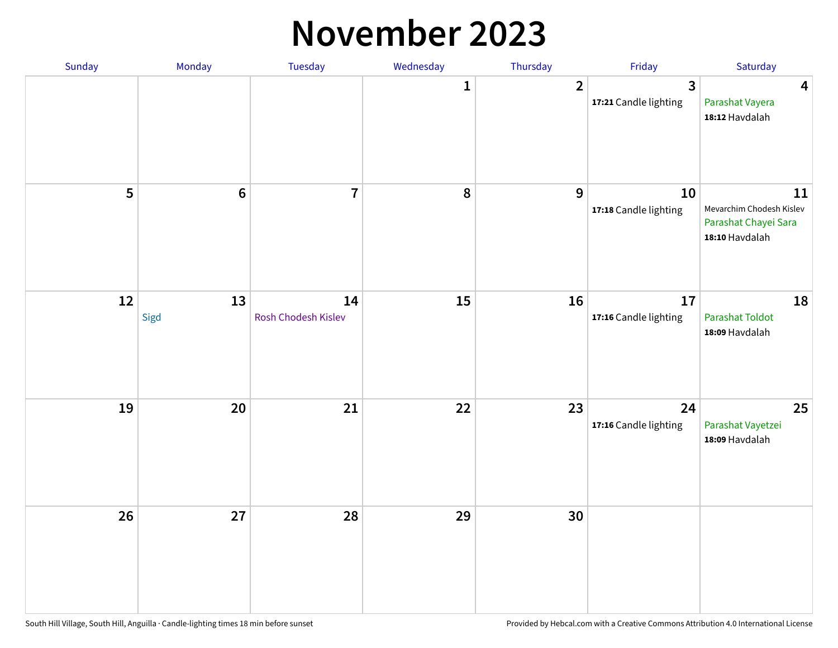#### **November 2023**

| Sunday | Monday         | Tuesday                   | Wednesday    | Thursday         | Friday                      | Saturday                                                                 |
|--------|----------------|---------------------------|--------------|------------------|-----------------------------|--------------------------------------------------------------------------|
|        |                |                           | $\mathbf{1}$ | $\overline{2}$   | 3<br>17:21 Candle lighting  | $\overline{\mathbf{4}}$<br>Parashat Vayera<br>18:12 Havdalah             |
| 5      | $6\phantom{a}$ | $\overline{7}$            | ${\bf 8}$    | $\boldsymbol{9}$ | 10<br>17:18 Candle lighting | 11<br>Mevarchim Chodesh Kislev<br>Parashat Chayei Sara<br>18:10 Havdalah |
| 12     | 13<br>Sigd     | 14<br>Rosh Chodesh Kislev | 15           | 16               | 17<br>17:16 Candle lighting | 18<br>Parashat Toldot<br>18:09 Havdalah                                  |
| 19     | 20             | $21$                      | 22           | 23               | 24<br>17:16 Candle lighting | 25<br>Parashat Vayetzei<br>18:09 Havdalah                                |
| 26     | 27             | 28                        | 29           | 30               |                             |                                                                          |